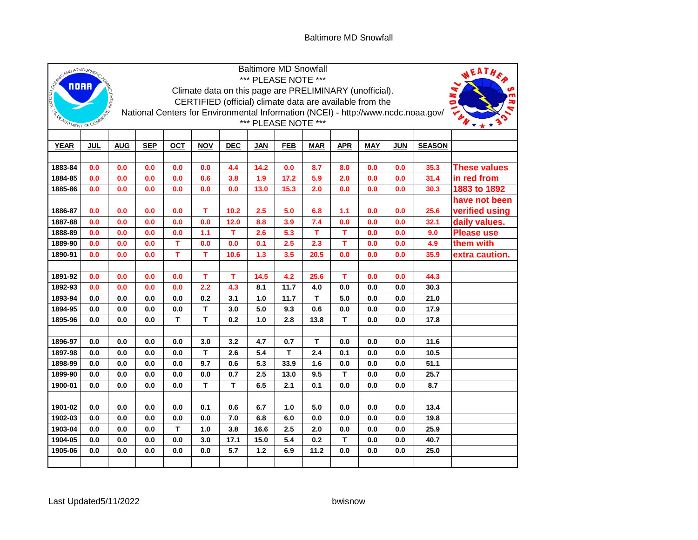## Baltimore MD Snowfall

|                         | <b>Baltimore MD Snowfall</b><br>SURVEY AND ATMOSPHER |                                                                                                          |            |            |            |              |             |              |            |             |            |            | NEATHE        |                                    |
|-------------------------|------------------------------------------------------|----------------------------------------------------------------------------------------------------------|------------|------------|------------|--------------|-------------|--------------|------------|-------------|------------|------------|---------------|------------------------------------|
|                         |                                                      | *** PLEASE NOTE ***<br>Climate data on this page are PRELIMINARY (unofficial).                           |            |            |            |              |             |              |            |             |            |            |               |                                    |
| NATIONAL                |                                                      | <b>REATION</b>                                                                                           |            |            |            |              |             |              |            |             |            |            |               |                                    |
|                         |                                                      | CERTIFIED (official) climate data are available from the                                                 |            |            |            |              |             |              |            |             |            |            |               |                                    |
|                         |                                                      | National Centers for Environmental Information (NCEI) - http://www.ncdc.noaa.gov/<br>*** PLEASE NOTE *** |            |            |            |              |             |              |            |             |            |            |               |                                    |
| ESP OF PARTMENT OF COMP |                                                      |                                                                                                          |            |            |            |              |             |              |            |             |            |            |               |                                    |
|                         |                                                      |                                                                                                          |            |            |            |              |             |              |            |             |            |            |               |                                    |
| <b>YEAR</b>             | <b>JUL</b>                                           | <b>AUG</b>                                                                                               | <b>SEP</b> | <b>OCT</b> | <b>NOV</b> | <b>DEC</b>   | <b>JAN</b>  | <b>FEB</b>   | <b>MAR</b> | <b>APR</b>  | <b>MAY</b> | <b>JUN</b> | <b>SEASON</b> |                                    |
|                         |                                                      |                                                                                                          |            |            |            |              |             |              |            |             |            |            |               |                                    |
| 1883-84<br>1884-85      | 0.0<br>0.0                                           | 0.0                                                                                                      | 0.0        | 0.0        | 0.0        | 4.4          | 14.2        | 0.0          | 8.7<br>5.9 | 8.0         | 0.0        | 0.0        | 35.3<br>31.4  | <b>These values</b><br>in red from |
| 1885-86                 | 0.0                                                  | 0.0<br>0.0                                                                                               | 0.0<br>0.0 | 0.0<br>0.0 | 0.6<br>0.0 | 3.8<br>0.0   | 1.9<br>13.0 | 17.2<br>15.3 | 2.0        | 2.0<br>0.0  | 0.0<br>0.0 | 0.0<br>0.0 | 30.3          | 1883 to 1892                       |
|                         |                                                      |                                                                                                          |            |            |            |              |             |              |            |             |            |            |               | have not been                      |
| 1886-87                 | 0.0                                                  | 0.0                                                                                                      | 0.0        | 0.0        | т          | $10.2$       | 2.5         | 5.0          | 6.8        | 1.1         | 0.0        | 0.0        | 25.6          | verified using                     |
| 1887-88                 | 0.0                                                  | 0.0                                                                                                      | 0.0        | 0.0        | 0.0        | 12.0         | 8.8         | 3.9          | 7.4        | 0.0         | 0.0        | 0.0        | 32.1          | daily values.                      |
| 1888-89                 | 0.0                                                  | 0.0                                                                                                      | 0.0        | 0.0        | 1.1        | $\mathbf{T}$ | 2.6         | 5.3          | T          | т           | 0.0        | 0.0        | 9.0           | <b>Please use</b>                  |
| 1889-90                 | 0.0                                                  | 0.0                                                                                                      | 0.0        | T          | 0.0        | 0.0          | 0.1         | 2.5          | 2.3        | T           | 0.0        | 0.0        | 4.9           | them with                          |
| 1890-91                 | 0.0                                                  | 0.0                                                                                                      | 0.0        | T          | т          | 10.6         | 1.3         | 3.5          | 20.5       | 0.0         | 0.0        | 0.0        | 35.9          | extra caution.                     |
|                         |                                                      |                                                                                                          |            |            |            |              |             |              |            |             |            |            |               |                                    |
| 1891-92                 | 0.0                                                  | 0.0                                                                                                      | 0.0        | 0.0        | т          | т            | 14.5        | 4.2          | 25.6       | т           | 0.0        | 0.0        | 44.3          |                                    |
| 1892-93                 | 0.0                                                  | 0.0                                                                                                      | 0.0        | 0.0        | 2.2        | 4.3          | 8.1         | 11.7         | 4.0        | 0.0         | 0.0        | 0.0        | 30.3          |                                    |
| 1893-94                 | 0.0                                                  | 0.0                                                                                                      | 0.0        | 0.0        | 0.2        | 3.1          | 1.0         | 11.7         | т          | 5.0         | 0.0        | 0.0        | 21.0          |                                    |
| 1894-95                 | 0.0                                                  | 0.0                                                                                                      | 0.0        | 0.0        | T          | 3.0          | 5.0         | 9.3          | 0.6        | 0.0         | 0.0        | 0.0        | 17.9          |                                    |
| 1895-96                 | 0.0                                                  | 0.0                                                                                                      | 0.0        | T          | т          | 0.2          | 1.0         | 2.8          | 13.8       | T.          | 0.0        | 0.0        | 17.8          |                                    |
|                         |                                                      |                                                                                                          |            |            |            |              |             |              |            |             |            |            |               |                                    |
| 1896-97                 | 0.0                                                  | 0.0                                                                                                      | 0.0        | 0.0        | 3.0        | 3.2          | 4.7         | 0.7          | T          | 0.0         | 0.0        | 0.0        | 11.6          |                                    |
| 1897-98                 | 0.0                                                  | 0.0                                                                                                      | $0.0\,$    | 0.0        | T          | 2.6          | 5.4         | T            | 2.4        | 0.1         | 0.0        | $0.0\,$    | 10.5          |                                    |
| 1898-99                 | 0.0                                                  | 0.0                                                                                                      | 0.0        | 0.0        | 9.7        | 0.6          | 5.3         | 33.9         | 1.6        | 0.0         | 0.0        | 0.0        | 51.1          |                                    |
| 1899-90                 | 0.0                                                  | 0.0                                                                                                      | 0.0        | 0.0        | 0.0        | 0.7          | 2.5         | 13.0         | 9.5        | T.          | 0.0        | 0.0        | 25.7          |                                    |
| 1900-01                 | 0.0                                                  | $0.0\,$                                                                                                  | $0.0\,$    | 0.0        | T          | $\mathbf T$  | 6.5         | 2.1          | 0.1        | 0.0         | 0.0        | $0.0\,$    | 8.7           |                                    |
|                         |                                                      |                                                                                                          |            |            |            |              |             |              |            |             |            |            |               |                                    |
| 1901-02                 | 0.0                                                  | 0.0                                                                                                      | 0.0        | 0.0        | 0.1        | 0.6          | 6.7         | 1.0          | 5.0        | 0.0         | 0.0        | 0.0        | 13.4          |                                    |
| 1902-03                 | 0.0                                                  | 0.0                                                                                                      | 0.0        | $0.0\,$    | 0.0        | 7.0          | 6.8         | 6.0          | $0.0\,$    | 0.0         | $0.0\,$    | $0.0\,$    | 19.8          |                                    |
| 1903-04                 | 0.0                                                  | 0.0                                                                                                      | 0.0        | T.         | 1.0        | 3.8          | 16.6        | 2.5          | 2.0        | 0.0         | 0.0        | 0.0        | 25.9          |                                    |
| 1904-05                 | 0.0                                                  | 0.0                                                                                                      | 0.0        | 0.0        | 3.0        | 17.1         | 15.0        | 5.4          | 0.2        | $\mathbf T$ | 0.0        | 0.0        | 40.7          |                                    |
| 1905-06                 | 0.0                                                  | 0.0                                                                                                      | $0.0\,$    | $0.0\,$    | $0.0\,$    | 5.7          | $1.2$       | 6.9          | 11.2       | 0.0         | 0.0        | 0.0        | 25.0          |                                    |
|                         |                                                      |                                                                                                          |            |            |            |              |             |              |            |             |            |            |               |                                    |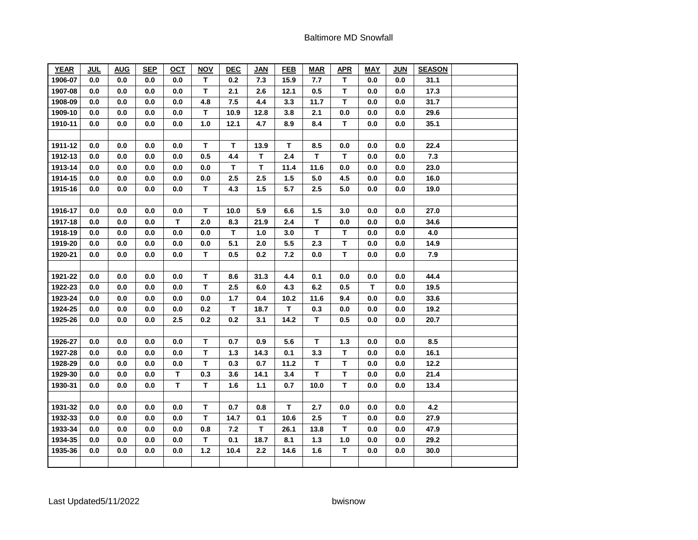| <b>YEAR</b> | <b>JUL</b> | <b>AUG</b> | <b>SEP</b> | <u>OCT</u>  | <b>NOV</b>  | <b>DEC</b> | <b>JAN</b> | <b>FEB</b> | <b>MAR</b>   | <b>APR</b>   | <b>MAY</b> | <b>JUN</b> | <b>SEASON</b> |  |
|-------------|------------|------------|------------|-------------|-------------|------------|------------|------------|--------------|--------------|------------|------------|---------------|--|
| 1906-07     | 0.0        | 0.0        | 0.0        | 0.0         | T.          | 0.2        | 7.3        | 15.9       | 7.7          | $\mathbf{T}$ | 0.0        | $0.0\,$    | 31.1          |  |
| 1907-08     | 0.0        | 0.0        | 0.0        | 0.0         | $\mathbf T$ | 2.1        | 2.6        | 12.1       | 0.5          | T            | 0.0        | 0.0        | 17.3          |  |
| 1908-09     | 0.0        | 0.0        | 0.0        | 0.0         | 4.8         | 7.5        | 4.4        | 3.3        | 11.7         | T            | 0.0        | 0.0        | 31.7          |  |
| 1909-10     | 0.0        | $0.0\,$    | 0.0        | $0.0\,$     | T           | 10.9       | 12.8       | 3.8        | 2.1          | 0.0          | 0.0        | 0.0        | 29.6          |  |
| 1910-11     | 0.0        | 0.0        | 0.0        | 0.0         | $1.0$       | 12.1       | 4.7        | 8.9        | 8.4          | T.           | 0.0        | 0.0        | 35.1          |  |
|             |            |            |            |             |             |            |            |            |              |              |            |            |               |  |
| 1911-12     | 0.0        | 0.0        | 0.0        | 0.0         | T           | T          | 13.9       | т          | 8.5          | 0.0          | 0.0        | 0.0        | 22.4          |  |
| 1912-13     | 0.0        | 0.0        | 0.0        | 0.0         | 0.5         | 4.4        | T          | 2.4        | T.           | T.           | 0.0        | 0.0        | 7.3           |  |
| 1913-14     | 0.0        | $0.0\,$    | 0.0        | $0.0\,$     | $0.0\,$     | T          | T          | 11.4       | 11.6         | $0.0\,$      | 0.0        | 0.0        | 23.0          |  |
| 1914-15     | 0.0        | 0.0        | 0.0        | 0.0         | 0.0         | 2.5        | 2.5        | 1.5        | 5.0          | 4.5          | 0.0        | 0.0        | 16.0          |  |
| 1915-16     | 0.0        | 0.0        | 0.0        | 0.0         | T           | 4.3        | 1.5        | 5.7        | 2.5          | 5.0          | 0.0        | 0.0        | 19.0          |  |
|             |            |            |            |             |             |            |            |            |              |              |            |            |               |  |
| 1916-17     | 0.0        | 0.0        | 0.0        | 0.0         | T           | 10.0       | 5.9        | 6.6        | 1.5          | 3.0          | 0.0        | 0.0        | 27.0          |  |
| 1917-18     | 0.0        | 0.0        | 0.0        | $\mathbf T$ | 2.0         | 8.3        | 21.9       | 2.4        | $\mathbf T$  | $0.0\,$      | 0.0        | $0.0\,$    | 34.6          |  |
| 1918-19     | 0.0        | 0.0        | 0.0        | 0.0         | 0.0         | T.         | 1.0        | 3.0        | T.           | T.           | 0.0        | 0.0        | 4.0           |  |
| 1919-20     | 0.0        | 0.0        | 0.0        | 0.0         | 0.0         | 5.1        | 2.0        | 5.5        | 2.3          | т            | 0.0        | 0.0        | 14.9          |  |
| 1920-21     | 0.0        | $0.0\,$    | 0.0        | 0.0         | T.          | 0.5        | 0.2        | 7.2        | 0.0          | T.           | $0.0\,$    | 0.0        | 7.9           |  |
|             |            |            |            |             |             |            |            |            |              |              |            |            |               |  |
| 1921-22     | 0.0        | $0.0\,$    | 0.0        | 0.0         | T           | 8.6        | 31.3       | 4.4        | 0.1          | 0.0          | 0.0        | 0.0        | 44.4          |  |
| 1922-23     | 0.0        | 0.0        | 0.0        | 0.0         | T           | 2.5        | 6.0        | 4.3        | 6.2          | 0.5          | T.         | 0.0        | 19.5          |  |
| 1923-24     | 0.0        | 0.0        | 0.0        | 0.0         | 0.0         | 1.7        | 0.4        | 10.2       | 11.6         | 9.4          | 0.0        | 0.0        | 33.6          |  |
| 1924-25     | 0.0        | $0.0\,$    | 0.0        | $0.0\,$     | 0.2         | т          | 18.7       | т          | 0.3          | 0.0          | 0.0        | 0.0        | 19.2          |  |
| 1925-26     | 0.0        | 0.0        | 0.0        | 2.5         | 0.2         | 0.2        | 3.1        | 14.2       | $\mathbf{T}$ | 0.5          | 0.0        | 0.0        | 20.7          |  |
|             |            |            |            |             |             |            |            |            |              |              |            |            |               |  |
| 1926-27     | 0.0        | $0.0\,$    | 0.0        | $0.0\,$     | $\mathsf T$ | 0.7        | 0.9        | 5.6        | T            | $1.3$        | 0.0        | 0.0        | 8.5           |  |
| 1927-28     | 0.0        | 0.0        | 0.0        | 0.0         | T           | 1.3        | 14.3       | 0.1        | 3.3          | T            | 0.0        | 0.0        | 16.1          |  |
| 1928-29     | 0.0        | $0.0\,$    | 0.0        | $0.0\,$     | T           | 0.3        | 0.7        | 11.2       | $\mathbf T$  | T            | 0.0        | $0.0\,$    | 12.2          |  |
| 1929-30     | 0.0        | 0.0        | 0.0        | $\mathbf T$ | 0.3         | 3.6        | 14.1       | 3.4        | T            | T            | 0.0        | 0.0        | 21.4          |  |
| 1930-31     | 0.0        | 0.0        | 0.0        | T.          | T           | 1.6        | 1.1        | 0.7        | 10.0         | T.           | 0.0        | 0.0        | 13.4          |  |
|             |            |            |            |             |             |            |            |            |              |              |            |            |               |  |
| 1931-32     | 0.0        | 0.0        | 0.0        | 0.0         | T           | 0.7        | 0.8        | T          | 2.7          | 0.0          | 0.0        | 0.0        | 4.2           |  |
| 1932-33     | 0.0        | 0.0        | 0.0        | 0.0         | $\mathsf T$ | 14.7       | 0.1        | 10.6       | 2.5          | T            | 0.0        | 0.0        | 27.9          |  |
| 1933-34     | 0.0        | 0.0        | 0.0        | 0.0         | 0.8         | 7.2        | T          | 26.1       | 13.8         | T.           | 0.0        | 0.0        | 47.9          |  |
| 1934-35     | 0.0        | 0.0        | 0.0        | 0.0         | T           | 0.1        | 18.7       | 8.1        | 1.3          | 1.0          | 0.0        | 0.0        | 29.2          |  |
| 1935-36     | 0.0        | 0.0        | 0.0        | 0.0         | $1.2$       | 10.4       | 2.2        | 14.6       | 1.6          | T            | 0.0        | 0.0        | 30.0          |  |
|             |            |            |            |             |             |            |            |            |              |              |            |            |               |  |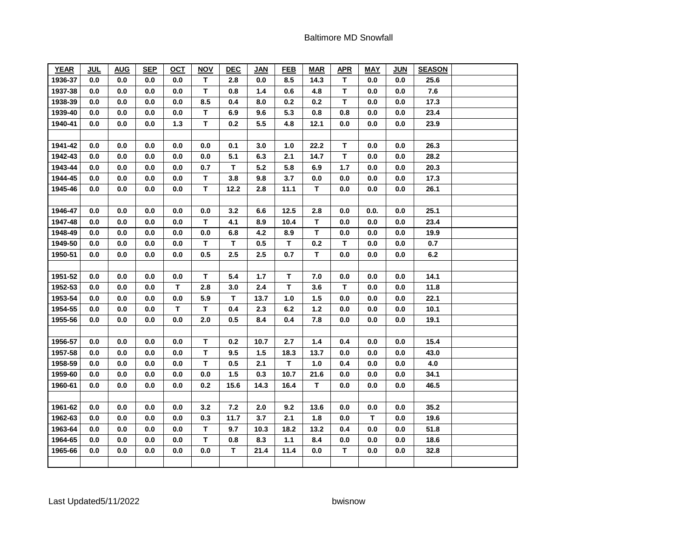| <b>YEAR</b> | <b>JUL</b> | <b>AUG</b> | <b>SEP</b> | <u>OCT</u> | <b>NOV</b>  | <b>DEC</b> | JAN   | <b>FEB</b>  | <b>MAR</b> | <b>APR</b>   | <b>MAY</b> | <b>JUN</b> | <b>SEASON</b> |  |
|-------------|------------|------------|------------|------------|-------------|------------|-------|-------------|------------|--------------|------------|------------|---------------|--|
| 1936-37     | 0.0        | 0.0        | 0.0        | 0.0        | T.          | 2.8        | 0.0   | 8.5         | 14.3       | $\mathbf{T}$ | 0.0        | 0.0        | 25.6          |  |
| 1937-38     | 0.0        | 0.0        | 0.0        | 0.0        | $\mathbf T$ | 0.8        | $1.4$ | 0.6         | 4.8        | T            | 0.0        | 0.0        | 7.6           |  |
| 1938-39     | 0.0        | 0.0        | 0.0        | 0.0        | 8.5         | 0.4        | 8.0   | 0.2         | 0.2        | T            | 0.0        | 0.0        | 17.3          |  |
| 1939-40     | 0.0        | $0.0\,$    | 0.0        | $0.0\,$    | T.          | 6.9        | 9.6   | 5.3         | 0.8        | 0.8          | 0.0        | 0.0        | 23.4          |  |
| 1940-41     | 0.0        | 0.0        | 0.0        | 1.3        | T           | 0.2        | 5.5   | 4.8         | 12.1       | 0.0          | 0.0        | 0.0        | 23.9          |  |
|             |            |            |            |            |             |            |       |             |            |              |            |            |               |  |
| 1941-42     | 0.0        | 0.0        | 0.0        | 0.0        | 0.0         | 0.1        | 3.0   | 1.0         | 22.2       | т            | 0.0        | 0.0        | 26.3          |  |
| 1942-43     | 0.0        | 0.0        | 0.0        | 0.0        | 0.0         | 5.1        | 6.3   | 2.1         | 14.7       | T            | 0.0        | 0.0        | 28.2          |  |
| 1943-44     | 0.0        | 0.0        | 0.0        | $0.0\,$    | 0.7         | т          | 5.2   | 5.8         | 6.9        | $1.7$        | 0.0        | 0.0        | 20.3          |  |
| 1944-45     | 0.0        | 0.0        | 0.0        | 0.0        | T           | 3.8        | 9.8   | 3.7         | 0.0        | 0.0          | 0.0        | 0.0        | 17.3          |  |
| 1945-46     | 0.0        | 0.0        | 0.0        | 0.0        | T           | 12.2       | 2.8   | 11.1        | T          | 0.0          | 0.0        | 0.0        | 26.1          |  |
|             |            |            |            |            |             |            |       |             |            |              |            |            |               |  |
| 1946-47     | 0.0        | 0.0        | 0.0        | 0.0        | 0.0         | 3.2        | 6.6   | 12.5        | 2.8        | 0.0          | 0.0.       | 0.0        | 25.1          |  |
| 1947-48     | 0.0        | $0.0\,$    | 0.0        | $0.0\,$    | T.          | 4.1        | 8.9   | 10.4        | T          | 0.0          | 0.0        | $0.0\,$    | 23.4          |  |
| 1948-49     | 0.0        | 0.0        | 0.0        | 0.0        | 0.0         | 6.8        | 4.2   | 8.9         | T          | 0.0          | 0.0        | 0.0        | 19.9          |  |
| 1949-50     | 0.0        | 0.0        | 0.0        | 0.0        | T.          | т          | 0.5   | T           | 0.2        | т            | 0.0        | 0.0        | 0.7           |  |
| 1950-51     | 0.0        | $0.0\,$    | 0.0        | 0.0        | 0.5         | 2.5        | 2.5   | 0.7         | T          | 0.0          | 0.0        | 0.0        | 6.2           |  |
|             |            |            |            |            |             |            |       |             |            |              |            |            |               |  |
| 1951-52     | 0.0        | $0.0\,$    | 0.0        | 0.0        | T           | 5.4        | 1.7   | T           | 7.0        | 0.0          | 0.0        | 0.0        | 14.1          |  |
| 1952-53     | 0.0        | 0.0        | 0.0        | T          | 2.8         | 3.0        | 2.4   | т           | 3.6        | T.           | 0.0        | 0.0        | 11.8          |  |
| 1953-54     | 0.0        | 0.0        | 0.0        | 0.0        | 5.9         | т          | 13.7  | 1.0         | 1.5        | 0.0          | 0.0        | 0.0        | 22.1          |  |
| 1954-55     | 0.0        | $0.0\,$    | 0.0        | T          | T           | 0.4        | 2.3   | 6.2         | $1.2$      | 0.0          | 0.0        | 0.0        | 10.1          |  |
| 1955-56     | 0.0        | 0.0        | 0.0        | 0.0        | 2.0         | 0.5        | 8.4   | 0.4         | 7.8        | 0.0          | 0.0        | 0.0        | 19.1          |  |
|             |            |            |            |            |             |            |       |             |            |              |            |            |               |  |
| 1956-57     | 0.0        | $0.0\,$    | 0.0        | $0.0\,$    | $\mathsf T$ | 0.2        | 10.7  | 2.7         | $1.4$      | 0.4          | 0.0        | 0.0        | 15.4          |  |
| 1957-58     | 0.0        | 0.0        | 0.0        | 0.0        | T           | 9.5        | 1.5   | 18.3        | 13.7       | 0.0          | 0.0        | 0.0        | 43.0          |  |
| 1958-59     | 0.0        | $0.0\,$    | 0.0        | $0.0\,$    | T           | 0.5        | 2.1   | $\mathbf T$ | $1.0\,$    | 0.4          | 0.0        | 0.0        | 4.0           |  |
| 1959-60     | 0.0        | 0.0        | 0.0        | 0.0        | 0.0         | 1.5        | 0.3   | 10.7        | 21.6       | 0.0          | 0.0        | 0.0        | 34.1          |  |
| 1960-61     | 0.0        | 0.0        | 0.0        | 0.0        | 0.2         | 15.6       | 14.3  | 16.4        | T          | 0.0          | 0.0        | 0.0        | 46.5          |  |
|             |            |            |            |            |             |            |       |             |            |              |            |            |               |  |
| 1961-62     | 0.0        | 0.0        | 0.0        | 0.0        | 3.2         | 7.2        | 2.0   | 9.2         | 13.6       | 0.0          | 0.0        | 0.0        | 35.2          |  |
| 1962-63     | 0.0        | 0.0        | 0.0        | 0.0        | 0.3         | 11.7       | 3.7   | 2.1         | 1.8        | 0.0          | T          | 0.0        | 19.6          |  |
| 1963-64     | 0.0        | 0.0        | 0.0        | 0.0        | T           | 9.7        | 10.3  | 18.2        | 13.2       | 0.4          | 0.0        | 0.0        | 51.8          |  |
| 1964-65     | 0.0        | 0.0        | 0.0        | 0.0        | T           | 0.8        | 8.3   | 1.1         | 8.4        | 0.0          | 0.0        | 0.0        | 18.6          |  |
| 1965-66     | 0.0        | 0.0        | 0.0        | 0.0        | 0.0         | T          | 21.4  | 11.4        | 0.0        | T            | 0.0        | 0.0        | 32.8          |  |
|             |            |            |            |            |             |            |       |             |            |              |            |            |               |  |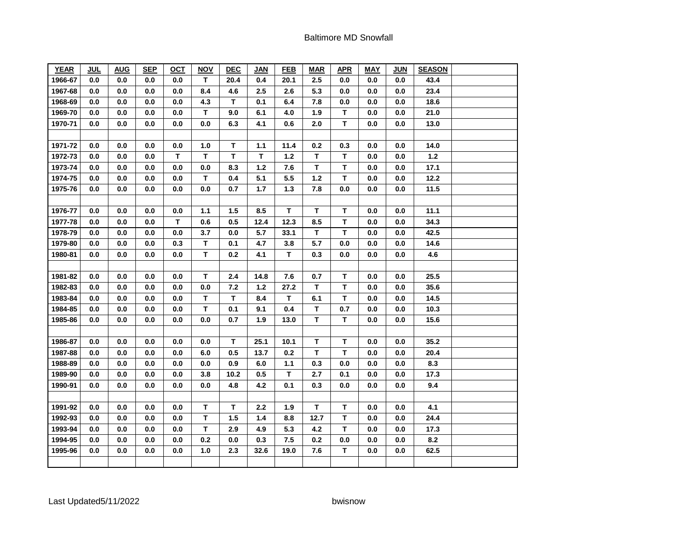| <b>YEAR</b> | <b>JUL</b> | <b>AUG</b> | <b>SEP</b> | <u>OCT</u>  | <b>NOV</b>  | <b>DEC</b> | <b>JAN</b> | <b>FEB</b> | <b>MAR</b>  | <b>APR</b>  | <b>MAY</b> | <b>JUN</b> | <b>SEASON</b> |  |
|-------------|------------|------------|------------|-------------|-------------|------------|------------|------------|-------------|-------------|------------|------------|---------------|--|
| 1966-67     | 0.0        | 0.0        | 0.0        | 0.0         | T.          | 20.4       | 0.4        | 20.1       | 2.5         | 0.0         | 0.0        | 0.0        | 43.4          |  |
| 1967-68     | 0.0        | 0.0        | 0.0        | 0.0         | 8.4         | 4.6        | 2.5        | 2.6        | 5.3         | 0.0         | 0.0        | 0.0        | 23.4          |  |
| 1968-69     | 0.0        | 0.0        | 0.0        | 0.0         | 4.3         | T          | 0.1        | 6.4        | 7.8         | 0.0         | 0.0        | 0.0        | 18.6          |  |
| 1969-70     | 0.0        | $0.0\,$    | 0.0        | $0.0\,$     | T           | 9.0        | 6.1        | 4.0        | 1.9         | T.          | $0.0\,$    | 0.0        | 21.0          |  |
| 1970-71     | 0.0        | 0.0        | 0.0        | 0.0         | 0.0         | 6.3        | 4.1        | 0.6        | 2.0         | T.          | 0.0        | 0.0        | 13.0          |  |
|             |            |            |            |             |             |            |            |            |             |             |            |            |               |  |
| 1971-72     | 0.0        | 0.0        | 0.0        | 0.0         | 1.0         | T          | 1.1        | 11.4       | 0.2         | 0.3         | 0.0        | 0.0        | 14.0          |  |
| 1972-73     | 0.0        | 0.0        | 0.0        | $\mathbf T$ | T           | T          | T          | $1.2$      | T           | T           | 0.0        | 0.0        | $1.2$         |  |
| 1973-74     | 0.0        | $0.0\,$    | 0.0        | $0.0\,$     | 0.0         | 8.3        | $1.2$      | 7.6        | T           | T           | 0.0        | 0.0        | 17.1          |  |
| 1974-75     | 0.0        | 0.0        | 0.0        | 0.0         | T           | 0.4        | 5.1        | 5.5        | $1.2$       | T           | 0.0        | 0.0        | 12.2          |  |
| 1975-76     | 0.0        | 0.0        | 0.0        | 0.0         | 0.0         | 0.7        | 1.7        | $1.3$      | 7.8         | $0.0\,$     | 0.0        | 0.0        | 11.5          |  |
|             |            |            |            |             |             |            |            |            |             |             |            |            |               |  |
| 1976-77     | 0.0        | 0.0        | 0.0        | 0.0         | $1.1$       | 1.5        | 8.5        | т          | T           | T.          | 0.0        | 0.0        | 11.1          |  |
| 1977-78     | 0.0        | $0.0\,$    | 0.0        | T           | 0.6         | 0.5        | 12.4       | 12.3       | 8.5         | T           | 0.0        | $0.0\,$    | 34.3          |  |
| 1978-79     | 0.0        | 0.0        | 0.0        | 0.0         | 3.7         | 0.0        | 5.7        | 33.1       | T.          | T.          | 0.0        | 0.0        | 42.5          |  |
| 1979-80     | 0.0        | 0.0        | 0.0        | 0.3         | T           | 0.1        | 4.7        | 3.8        | 5.7         | 0.0         | 0.0        | 0.0        | 14.6          |  |
| 1980-81     | 0.0        | $0.0\,$    | 0.0        | 0.0         | T           | 0.2        | 4.1        | т          | 0.3         | 0.0         | $0.0\,$    | 0.0        | 4.6           |  |
|             |            |            |            |             |             |            |            |            |             |             |            |            |               |  |
| 1981-82     | 0.0        | $0.0\,$    | 0.0        | 0.0         | T           | 2.4        | 14.8       | 7.6        | 0.7         | T           | 0.0        | $0.0\,$    | 25.5          |  |
| 1982-83     | 0.0        | 0.0        | 0.0        | 0.0         | 0.0         | 7.2        | $1.2$      | 27.2       | T.          | T.          | 0.0        | 0.0        | 35.6          |  |
| 1983-84     | 0.0        | 0.0        | 0.0        | 0.0         | T           | T          | 8.4        | T          | 6.1         | T           | 0.0        | 0.0        | 14.5          |  |
| 1984-85     | 0.0        | $0.0\,$    | 0.0        | $0.0\,$     | T           | 0.1        | 9.1        | 0.4        | $\mathsf T$ | 0.7         | 0.0        | 0.0        | 10.3          |  |
| 1985-86     | 0.0        | 0.0        | 0.0        | 0.0         | 0.0         | 0.7        | 1.9        | 13.0       | T.          | T.          | 0.0        | 0.0        | 15.6          |  |
|             |            |            |            |             |             |            |            |            |             |             |            |            |               |  |
| 1986-87     | 0.0        | $0.0\,$    | 0.0        | $0.0\,$     | 0.0         | T          | 25.1       | 10.1       | $\mathsf T$ | T           | 0.0        | 0.0        | 35.2          |  |
| 1987-88     | 0.0        | 0.0        | 0.0        | 0.0         | 6.0         | 0.5        | 13.7       | 0.2        | T           | T.          | 0.0        | 0.0        | 20.4          |  |
| 1988-89     | 0.0        | $0.0\,$    | 0.0        | $0.0\,$     | 0.0         | 0.9        | 6.0        | 1.1        | 0.3         | 0.0         | 0.0        | $0.0\,$    | 8.3           |  |
| 1989-90     | 0.0        | 0.0        | 0.0        | 0.0         | 3.8         | 10.2       | 0.5        | T          | 2.7         | 0.1         | 0.0        | 0.0        | 17.3          |  |
| 1990-91     | 0.0        | 0.0        | 0.0        | 0.0         | 0.0         | 4.8        | 4.2        | 0.1        | 0.3         | 0.0         | 0.0        | 0.0        | 9.4           |  |
|             |            |            |            |             |             |            |            |            |             |             |            |            |               |  |
| 1991-92     | 0.0        | 0.0        | 0.0        | 0.0         | T           | T.         | 2.2        | 1.9        | T.          | T           | 0.0        | 0.0        | 4.1           |  |
| 1992-93     | 0.0        | 0.0        | 0.0        | 0.0         | $\mathsf T$ | 1.5        | 1.4        | 8.8        | 12.7        | $\mathbf T$ | 0.0        | 0.0        | 24.4          |  |
| 1993-94     | 0.0        | 0.0        | 0.0        | 0.0         | T           | 2.9        | 4.9        | 5.3        | 4.2         | T.          | 0.0        | 0.0        | 17.3          |  |
| 1994-95     | 0.0        | 0.0        | 0.0        | 0.0         | 0.2         | 0.0        | 0.3        | 7.5        | 0.2         | 0.0         | 0.0        | 0.0        | 8.2           |  |
| 1995-96     | 0.0        | 0.0        | 0.0        | 0.0         | 1.0         | 2.3        | 32.6       | 19.0       | 7.6         | T           | 0.0        | 0.0        | 62.5          |  |
|             |            |            |            |             |             |            |            |            |             |             |            |            |               |  |